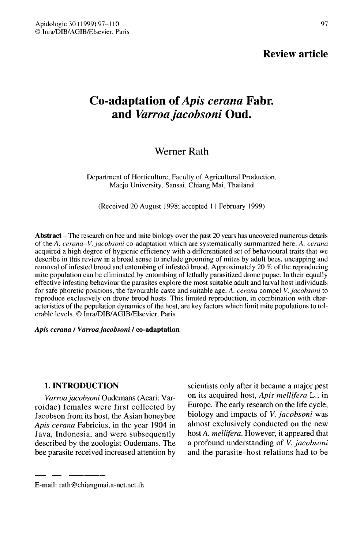97

# Co-adaptation of Apis cerana Fabr. and Varroa jacobsoni Oud.

# Werner Rath

Department of Horticulture, Faculty of Agricultural Production, Maejo University, Sansai, Chiang Mai, Thailand

(Received 20 August 1998; accepted 11 February 1999)

**Abstract** – The research on bee and mite biology over the past 20 years has uncovered numerous details of the A. cerana-V. jacobsoni co-adaptation which are systematically summarized here. A. cerana acquired a high degree of hygienic efficiency with a differentiated set of behavioural traits that we describe in this review in a broad sense to include grooming of mites by adult bees, uncapping and removal of infested brood and entombing of infested brood. Approximately 20 % of the reproducing mite population can be eliminated by entombing of lethally parasitized drone pupae. In their equally effective infesting behaviour the parasites explore the most suitable adult and larval host individuals for safe phoretic positions, the favourable caste and suitable age. A. cerana compel V. jacobsoni to reproduce exclusively on drone brood hosts. This limited reproduction, in combination with characteristics of the population dynamics of the host, are key factors which limit mite populations to tolerable levels. © Inra/DIB/AGIB/Elsevier, Paris

#### Apis cerana / Varroa jacobsoni / co-adaptation

#### 1. INTRODUCTION

Varroa jacobsoni Oudemans (Acari: Varroidae) females were first collected by Jacobson from its host, the Asian honeybee Apis cerana Fabricius, in the year 1904 in Java, Indonesia, and were subsequently described by the zoologist Oudemans. The bee parasite received increased attention by scientists only after it became a major pest on its acquired host, Apis mellifera L., in Europe. The early research on the life cycle, biology and impacts of *V. jacobsoni* was almost exclusively conducted on the new host A. mellifera. However, it appeared that a profound understanding of V. jacobsoni and the parasite-host relations had to be

E-mail: rath@chiangmai.a-net.net.th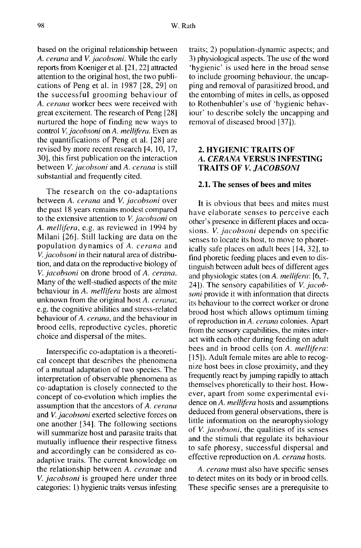based on the original relationship between A. cerana and V. jacobsoni. While the early reports from Koeniger et al. [21, 22] attracted attention to the original host, the two publications of Peng et al. in 1987 [28, 29] on the successful grooming behaviour of A. cerana worker bees were received with great excitement. The research of Peng [28] nurtured the hope of finding new ways to control V. jacobsoni on A. mellifera. Even as the quantifications of Peng et al. [28] are revised by more recent research [4, 10, 17, 30], this first publication on the interaction between *V. jacobsoni* and *A. cerana* is still substantial and frequently cited.

The research on the co-adaptations between A. cerana and V. jacobsoni over the past 18 years remains modest compared to the extensive attention to V. jacobsoni on A. mellifera, e.g. as reviewed in 1994 by Milani [26]. Still lacking are data on the population dynamics of A. cerana and V. jacobsoni in their natural area of distribution, and data on the reproductive biology of V. jacobsoni on drone brood of A. cerana. Many of the well-studied aspects of the mite behaviour in A. mellifera hosts are almost unknown from the original host A. cerana; e.g. the cognitive abilities and stress-related behaviour of A. cerana, and the behaviour in brood cells, reproductive cycles, phoretic choice and dispersal of the mites.

Interspecific co-adaptation is a theoretical concept that describes the phenomena of a mutual adaptation of two species. The interpretation of observable phenomena as co-adaptation is closely connected to the concept of co-evolution which implies the assumption that the ancestors of A. cerana and V. jacobsoni exerted selective forces on one another [34]. The following sections will summarize host and parasite traits that mutually influence their respective fitness and accordingly can be considered as coadaptive traits. The current knowledge on the relationship between A. ceranae and V. jacobsoni is grouped here under three categories: 1) hygienic traits versus infesting

traits; 2) population-dynamic aspects; and 3) physiological aspects. The use of the word 'hygienic' is used here in the broad sense to include grooming behaviour, the uncapping and removal of parasitized brood, and the entombing of mites in cells, as opposed to Rothenbuhler's use of 'hygienic behaviour' to describe solely the uncapping and removal of diseased brood [37]).

# 2. HYGIENIC TRAITS OF A. CERANA VERSUS INFESTING TRAITS OF V. JACOBSONI

#### 2.1. The senses of bees and mites

It is obvious that bees and mites must have elaborate senses to perceive each other's presence in different places and occasions. V. *jacobsoni* depends on specific senses to locate its host, to move to phoretically safe places on adult bees [14, 32], to find phoretic feeding places and even to distinguish between adult bees of different ages and physiologic states (on A. mellifera: [6, 7, 24]). The sensory capabilities of V. jacobsoni provide it with information that directs its behaviour to the correct worker or drone brood host which allows optimum timing of reproduction in A. cerana colonies. Apart from the sensory capabilities, the mites interact with each other during feeding on adult bees and in brood cells (on A. mellifera: [15]). Adult female mites are able to recognize host bees in close proximity, and they frequently react by jumping rapidly to attach themselves phoretically to their host. However, apart from some experimental evidence on A. mellifera hosts and assumptions deduced from general observations, there is little information on the neurophysiology of V. jacobsoni, the qualities of its senses and the stimuli that regulate its behaviour to safe phoresy, successful dispersal and effective reproduction on A. cerana hosts.

A. cerana must also have specific senses to detect mites on its body or in brood cells. These specific senses are a prerequisite to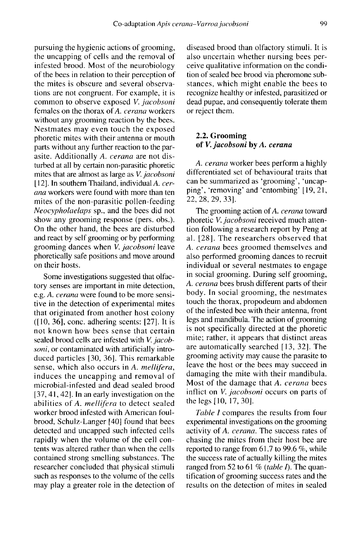pursuing the hygienic actions of grooming, the uncapping of cells and the removal of infested brood. Most of the neurobiology of the bees in relation to their perception of the mites is obscure and several observations are not congruent. For example, it is common to observe exposed V. jacobsoni females on the thorax of A. cerana workers without any grooming reaction by the bees. Nestmates may even touch the exposed phoretic mites with their antenna or mouth parts without any further reaction to the parasite. Additionally A. cerana are not disturbed at all by certain non-parasitic phoretic mites that are almost as large as V. jacobsoni [12]. In southern Thailand, individual A. cerana workers were found with more than ten mites of the non-parasitic pollen-feeding Neocypholaelaps sp., and the bees did not show any grooming response (pers. obs.). On the other hand, the bees are disturbed and react by self grooming or by performing grooming dances when V. jacobsoni leave phoretically safe positions and move around on their hosts.

Some investigations suggested that olfactory senses are important in mite detection, e.g. A. cerana were found to be more sensitive in the detection of experimental mites that originated from another host colony ([10, 36], conc. adhering scents: [27]. It is not known how bees sense that certain sealed brood cells are infested with V. jacobsoni, or contaminated with artificially introduced particles [30, 36]. This remarkable sense, which also occurs in A. mellifera, induces the uncapping and removal of microbial-infested and dead sealed brood [37, 41, 42]. In an early investigation on the abilities of A. mellifera to detect sealed worker brood infested with American foulbrood, Schulz-Langer [40] found that bees detected and uncapped such infected cells rapidly when the volume of the cell contents was altered rather than when the cells contained strong smelling substances. The researcher concluded that physical stimuli such as responses to the volume of the cells may play a greater role in the detection of

diseased brood than olfactory stimuli. It is also uncertain whether nursing bees perceive qualitative information on the condition of sealed bee brood via pheromone substances, which might enable the bees to recognize healthy or infested, parasitized or dead pupae, and consequently tolerate them or reject them.

# 2.2. Grooming of V. jacobsoni by A. cerana

A. cerana worker bees perform a highly differentiated set of behavioural traits that can be summarized as 'grooming', 'uncapping', 'removing' and 'entombing' [19, 21, 22, 28, 29, 33].

The grooming action of A. cerana toward phoretic V. jacobsoni received much attention following a research report by Peng at al. [28]. The researchers observed that A. cerana bees groomed themselves and also performed grooming dances to recruit individual or several nestmates to engage in social grooming. During self grooming, A. cerana bees brush different parts of their body. In social grooming, the nestmates touch the thorax, propodeum and abdomen of the infested bee with their antenna, front legs and mandibula. The action of grooming is not specifically directed at the phoretic mite; rather, it appears that distinct areas are automatically searched [13, 32]. The grooming activity may cause the parasite to leave the host or the bees may succeed in damaging the mite with their mandibula. Most of the damage that A. cerana bees inflict on *V. jacobsoni* occurs on parts of the legs [10, 17, 30].

Table I compares the results from four experimental investigations on the grooming activity of A. cerana. The success rates of chasing the mites from their host bee are reported to range from 61.7 to 99.6 %, while the success rate of actually killing the mites ranged from 52 to 61 % (table  $I$ ). The quantification of grooming success rates and the results on the detection of mites in sealed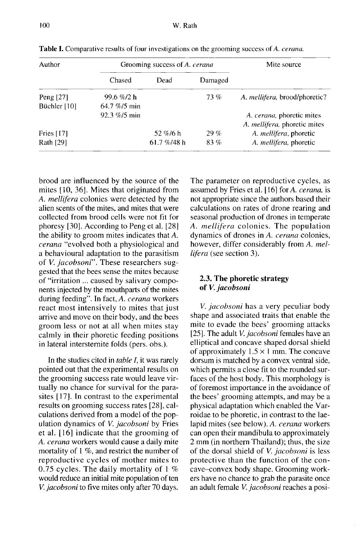| Author       | Grooming success of A. cerana |                |         | Mite source                           |  |
|--------------|-------------------------------|----------------|---------|---------------------------------------|--|
|              | Chased                        | Dead           | Damaged |                                       |  |
| Peng $[27]$  | 99.6 %/2 h                    |                | 73%     | A. <i>mellifera</i> , brood/phoretic? |  |
| Büchler [10] | $64.7\%$ /5 min               |                |         |                                       |  |
|              | $92.3 \% / 5$ min             |                |         | A. cerana, phoretic mites             |  |
|              |                               |                |         | A. <i>mellifera</i> , phoretic mites  |  |
| Fries $[17]$ |                               | 52 %/6 h       | 29%     | A. <i>mellifera</i> , phoretic        |  |
| Rath [29]    |                               | 61.7 $%$ /48 h | 83%     | A. mellifera, phoretic                |  |

Table I. Comparative results of four investigations on the grooming success of A. cerana.

brood are influenced by the source of the mites [10, 36]. Mites that originated from A. mellifera colonies were detected by the alien scents of the mites, and mites that were collected from brood cells were not fit for phoresy [30]. According to Peng et al. [28] the ability to groom mites indicates that A. cerana "evolved both a physiological and a behavioural adaptation to the parasitism of V. jacobsoni". These researchers suggested that the bees sense the mites because of "irritation ... caused by salivary components injected by the mouthparts of the mites during feeding". In fact, A. cerana workers react most intensively to mites that just arrive and move on their body, and the bees groom less or not at all when mites stay calmly in their phoretic feeding positions in lateral intersternite folds (pers. obs.).

In the studies cited in table I, it was rarely pointed out that the experimental results on the grooming success rate would leave virtually no chance for survival for the parasites [17]. In contrast to the experimental results on grooming success rates [28], calculations derived from a model of the population dynamics of *V. jacobsoni* by Fries et al. [16] indicate that the grooming of A. cerana workers would cause a daily mite mortality of 1 %, and restrict the number of reproductive cycles of mother mites to 0.75 cycles. The daily mortality of I % would reduce an initial mite population of ten V. jacobsoni to five mites only after 70 days.

The parameter on reproductive cycles, as assumed by Fries et al. [16] for A. cerana, is not appropriate since the authors based their calculations on rates of drone rearing and seasonal production of drones in temperate A. mellifera colonies. The population dynamics of drones in A. cerana colonies, however, differ considerably from A. mellifera (see section 3).

# 2.3. The phoretic strategy of V. jacobsoni

V. *jacobsoni* has a very peculiar body shape and associated traits that enable the mite to evade the bees' grooming attacks [25]. The adult V. jacobsoni females have an elliptical and concave shaped dorsal shield of approximately  $1.5 \times 1$  mm. The concave dorsum is matched by a convex ventral side, which permits a close fit to the rounded surfaces of the host body. This morphology is of foremost importance in the avoidance of the bees' grooming attempts, and may be a physical adaptation which enabled the Varroidae to be phoretic, in contrast to the laelapid mites (see below). A. cerana workers can open their mandibula to approximately 2 mm (in northern Thailand); thus, the size of the dorsal shield of *V. jacobsoni* is less protective than the function of the concave-convex body shape. Grooming workers have no chance to grab the parasite once an adult female V. jacobsoni reaches a posi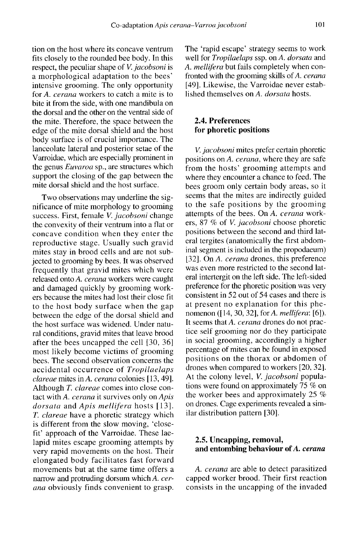tion on the host where its concave ventrum fits closely to the rounded bee body. In this respect, the peculiar shape of *V*, *jacobsoni* is a morphological adaptation to the bees' intensive grooming. The only opportunity for A. cerana workers to catch a mite is to bite it from the side, with one mandibula on the dorsal and the other on the ventral side of the mite. Therefore, the space between the edge of the mite dorsal shield and the host body surface is of crucial importance. The lanceolate lateral and posterior setae of the Varroidae, which are especially prominent in the genus Euvaroa sp., are structures which support the closing of the gap between the mite dorsal shield and the host surface.

Two observations may underline the significance of mite morphology to grooming success. First, female V. jacobsoni change the convexity of their ventrum into a flat or concave condition when they enter the reproductive stage. Usually such gravid mites stay in brood cells and are not subjected to grooming by bees. It was observed frequently that gravid mites which were released onto A. cerana workers were caught and damaged quickly by grooming workers because the mites had lost their close fit to the host body surface when the gap between the edge of the dorsal shield and the host surface was widened. Under natural conditions, gravid mites that leave brood after the bees uncapped the cell [30, 36] most likely become victims of grooming bees. The second observation concerns the accidental occurrence of Tropilaelaps clareae mites in A. cerana colonies [13, 49]. Although T. clareae comes into close contact with A. cerana it survives only on Apis dorsata and Apis mellifera hosts [13]. T. clareae have a phoretic strategy which is different from the slow moving, 'closefit' approach of the Varroidae. These laelapid mites escape grooming attempts by very rapid movements on the host. Their elongated body facilitates fast forward movements but at the same time offers a narrow and protruding dorsum which A. cerana obviously finds convenient to grasp.

The 'rapid escape' strategy seems to work well for Tropilaelaps ssp. on A. dorsata and A. mellifera but fails completely when confronted with the grooming skills of A. cerana [49]. Likewise, the Varroidae never established themselves on A. *dorsata* hosts.

#### 2.4. Preferences for phoretic positions

V. jacobsoni mites prefer certain phoretic positions on A. cerana, where they are safe from the hosts' grooming attempts and where they encounter a chance to feed. The bees groom only certain body areas, so it seems that the mites are indirectly guided to the safe positions by the grooming attempts of the bees. On A. cerana workers, 87 % of V. jacobsoni choose phoretic positions between the second and third lateral tergites (anatomically the first abdominal segment is included in the propodaeum) [32]. On A. cerana drones, this preference was even more restricted to the second lateral intertergit on the left side. The left-sided preference for the phoretic position was very consistent in 52 out of 54 cases and there is at present no explanation for this phe nomenon ([14, 30, 32], for A. mellifera: [6]). It seems that A. cerana drones do not practice self grooming nor do they participate in social grooming, accordingly a higher percentage of mites can be found in exposed positions on the thorax or abdomen of drones when compared to workers [20, 32]. At the colony level, *V. jacobsoni* populations were found on approximately 75 % on the worker bees and approximately 25 % on drones. Cage experiments revealed a similar distribution pattern [30].

#### 2.5. Uncapping, removal, and entombing behaviour of A. cerana

A. cerana are able to detect parasitized capped worker brood. Their first reaction consists in the uncapping of the invaded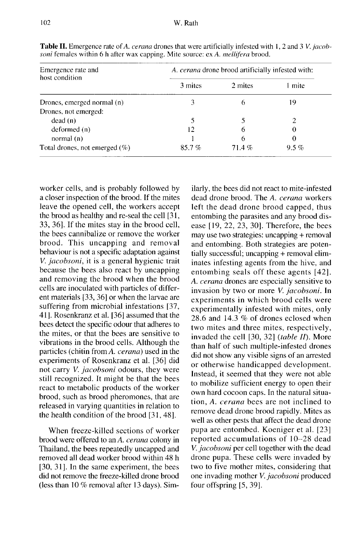| Emergence rate and<br>host condition | A. cerana drone brood artificially infested with: |         |         |  |  |  |
|--------------------------------------|---------------------------------------------------|---------|---------|--|--|--|
|                                      | 3 mites                                           | 2 mites | mite    |  |  |  |
| Drones, emerged normal (n)           |                                                   | 6       | 19      |  |  |  |
| Drones, not emerged:                 |                                                   |         |         |  |  |  |
| dead(n)                              |                                                   |         |         |  |  |  |
| deformed(n)                          | 12                                                | 6       |         |  |  |  |
| normal $(n)$                         |                                                   | h       |         |  |  |  |
| Total drones, not emerged $(\%)$     | 85.7%                                             | 71.4%   | $9.5\%$ |  |  |  |

Table II. Emergence rate of A. cerana drones that were artificially infested with 1, 2 and 3 V. jacobsoni females within 6 h after wax capping. Mite source: ex A. mellifera brood.

worker cells, and is probably followed by a closer inspection of the brood. If the mites leave the opened cell, the workers accept the brood as healthy and re-seal the cell [31, 33, 36]. If the mites stay in the brood cell, the bees cannibalize or remove the worker brood. This uncapping and removal behaviour is not a specific adaptation against V. jacobsoni, it is a general hygienic trait because the bees also react by uncapping and removing the brood when the brood cells are inoculated with particles of different materials [33, 36] or when the larvae are suffering from microbial infestations [37, 41]. Rosenkranz et al. [36] assumed that the bees detect the specific odour that adheres to the mites, or that the bees are sensitive to vibrations in the brood cells. Although the particles (chitin from A. cerana) used in the experiments of Rosenkranz et al. [36] did not carry V. jacobsoni odours, they were still recognized. It might be that the bees react to metabolic products of the worker brood, such as brood pheromones, that are released in varying quantities in relation to the health condition of the brood [31, 48].

When freeze-killed sections of worker brood were offered to an A. cerana colony in Thailand, the bees repeatedly uncapped and removed all dead worker brood within 48 h [30, 31]. In the same experiment, the bees did not remove the freeze-killed drone brood (less than 10 % removal after 13 days). Similarly, the bees did not react to mite-infested dead drone brood. The A. cerana workers left the dead drone brood capped, thus entombing the parasites and any brood disease [19, 22, 23, 30]. Therefore, the bees may use two strategies: uncapping + removal and entombing. Both strategies are potentially successful; uncapping + removal eliminates infesting agents from the hive, and entombing seals off these agents [42]. A. *cerana* drones are especially sensitive to invasion by two or more V. jacobsoni. In experiments in which brood cells were experimentally infested with mites, only 28.6 and 14.3 % of drones eclosed when two mites and three mites, respectively, invaded the cell  $[30, 32]$  (table II). More than half of such multiple-infested drones did not show any visible signs of an arrested or otherwise handicapped development. Instead, it seemed that they were not able to mobilize sufficient energy to open their own hard cocoon caps. In the natural situation, A. cerana bees are not inclined to remove dead drone brood rapidly. Mites as well as other pests that affect the dead drone pupa are entombed. Koeniger et al. [23] reported accumulations of 10-28 dead V. jacobsoni per cell together with the dead drone pupa. These cells were invaded by two to five mother mites, considering that one invading mother V. jacobsoni produced four offspring [5, 39].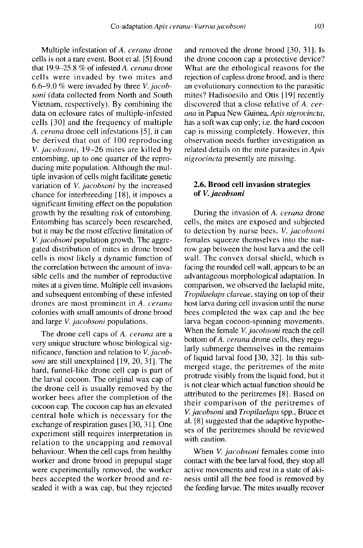Multiple infestation of A. cerana drone cells is not a rare event. Boot et al. [5] found that 19.9-25.8 % of infested A. cerana drone cells were invaded by two mites and 6.6-9.0 % were invaded by three V. jacobsoni (data collected from North and South Vietnam, respectively). By combining the data on eclosure rates of multiple-infested cells [30] and the frequency of multiple A. cerana drone cell infestations [5], it can be derived that out of 100 reproducing V. jacobsoni, 19-26 mites are killed by entombing, up to one quarter of the reproducing mite population. Although the multiple invasion of cells might facilitate genetic variation of *V. jacobsoni* by the increased chance for interbreeding [ 18], it imposes a significant limiting effect on the population growth by the resulting risk of entombing. Entombing has scarcely been researched, but it may be the most effective limitation of V. jacobsoni population growth. The aggregated distribution of mites in drone brood cells is most likely a dynamic function of the correlation between the amount of invasible cells and the number of reproductive mites at a given time. Multiple cell invasions and subsequent entombing of these infested drones are most prominent in A. cerana colonies with small amounts of drone brood and large V. jacobsoni populations.

The drone cell caps of A. cerana are a very unique structure whose biological significance, function and relation to  $V$ . jacobsoni are still unexplained [19, 20, 31]. The hard, funnel-like drone cell cap is part of the larval cocoon. The original wax cap of the drone cell is usually removed by the worker bees after the completion of the cocoon cap. The cocoon cap has an elevated central hole which is necessary for the exchange of respiration gases [30, 31]. One experiment still requires interpretation in relation to the uncapping and removal behaviour. When the cell caps from healthy worker and drone brood in prepupal stage were experimentally removed, the worker bees accepted the worker brood and resealed it with a wax cap, but they rejected

and removed the drone brood [30, 31]. Is the drone cocoon cap a protective device? What are the ethological reasons for the rejection of capless drone brood, and is there an evolutionary connection to the parasitic mites? Hadisoesilo and Otis [19] recently discovered that a close relative of A. cerana in Papua New Guinea, Apis nigrocincta, has a soft wax cap only; i.e. the hard cocoon cap is missing completely. However, this observation needs further investigation as related details on the mite parasites in Apis nigrocincta presently are missing.

#### 2.6. Brood cell invasion strategies of V. jacobsoni

During the invasion of A. cerana drone cells, the mites are exposed and subjected to detection by nurse bees. V. jacobsoni females squeeze themselves into the narrow gap between the host larva and the cell wall. The convex dorsal shield, which is facing the rounded cell wall, appears to be an advantageous morphological adaptation. In comparison, we observed the laelapid mite, Tropilaelaps clareae, staying on top of their host larva during cell invasion until the nurse bees completed the wax cap and the bee larva began cocoon-spinning movements. When the female V. jacobsoni reach the cell bottom of A. cerana drone cells, they regularly submerge themselves in the remains of liquid larval food [30, 32]. In this submerged stage, the peritremes of the mite protrude visibly from the liquid food, but it is not clear which actual function should be attributed to the peritremes [8]. Based on their comparison of the peritremes of V. jacobsoni and Tropilaelaps spp., Bruce et al. [8] suggested that the adaptive hypothe ses of the peritremes should be reviewed with caution.

When V. jacobsoni females come into contact with the bee larval food, they stop all active movements and rest in a state of akinesis until all the bee food is removed by the feeding larvae. The mites usually recover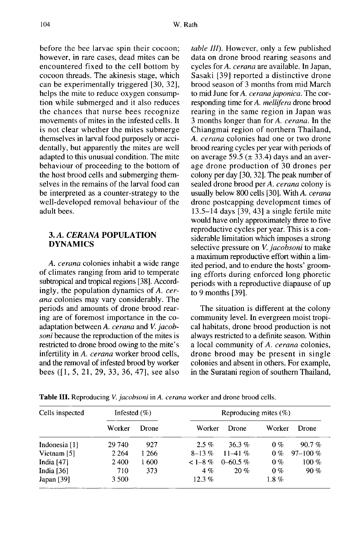before the bee larvae spin their cocoon; however, in rare cases, dead mites can be encountered fixed to the cell bottom by cocoon threads. The akinesis stage, which can be experimentally triggered [30, 32], helps the mite to reduce oxygen consumption while submerged and it also reduces the chances that nurse bees recognize movements of mites in the infested cells. It is not clear whether the mites submerge themselves in larval food purposely or accidentally, but apparently the mites are well adapted to this unusual condition. The mite behaviour of proceeding to the bottom of the host brood cells and submerging themselves in the remains of the larval food can be interpreted as a counter-strategy to the well-developed removal behaviour of the adult bees.

# 3. A. CERANA POPULATION DYNAMICS

A. cerana colonies inhabit a wide range of climates ranging from arid to temperate subtropical and tropical regions [38]. Accordingly, the population dynamics of A. cerana colonies may vary considerably. The periods and amounts of drone brood rearing are of foremost importance in the coadaptation between A. cerana and V. jacobsoni because the reproduction of the mites is restricted to drone brood owing to the mite's infertility in A. cerana worker brood cells, and the removal of infested brood by worker bees ([1, 5, 21, 29, 33, 36, 47], see also table III). However, only a few published data on drone brood rearing seasons and cycles for A. cerana are available. In Japan, Sasaki [39] reported a distinctive drone brood season of 3 months from mid March to mid June for A. cerana japonica. The corresponding time for A. mellifera drone brood rearing in the same region in Japan was 3 months longer than for A. cerana. In the Chiangmai region of northern Thailand, A. cerana colonies had one or two drone brood rearing cycles per year with periods of on average 59.5 ( $\pm$  33.4) days and an average drone production of 30 drones per colony per day [30, 32]. The peak number of sealed drone brood per A. cerana colony is usually below 800 cells [30]. With A. cerana drone postcapping development times of 13.5-14 days [39, 43] a single fertile mite would have only approximately three to five reproductive cycles per year. This is a considerable limitation which imposes a strong selective pressure on *V. jacobsoni* to make a maximum reproductive effort within a limited period, and to endure the hosts' grooming efforts during enforced long phoretic periods with a reproductive diapause of up to 9 months [39].

The situation is different at the colony community level. In evergreen moist tropical habitats, drone brood production is not always restricted to a definite season. Within a local community of A. cerana colonies, drone brood may be present in single colonies and absent in others. For example, in the Suratani region of southern Thailand,

| Cells inspected | Infested $(\%)$ |              | Reproducing mites $(\%)$ |              |         |              |
|-----------------|-----------------|--------------|--------------------------|--------------|---------|--------------|
|                 | Worker          | <b>Drone</b> | Worker                   | Drone        | Worker  | Drone        |
| Indonesia [1]   | 29 740          | 927          | $2.5\%$                  | $36.3\%$     | $0\%$   | 90.7%        |
| Vietnam [5]     | 2 2 6 4         | 1 266        | $8-13\%$                 | $11-41%$     | $0\%$   | $97 - 100\%$ |
| India $[47]$    | 2400            | 1 600        | $<$ 1-8 $%$              | $0 - 60.5\%$ | $0\%$   | $100\%$      |
| India $[36]$    | 710             | 373          | $4\%$                    | 20%          | $0\%$   | 90%          |
| Japan [39]      | 3 500           |              | $12.3\%$                 |              | $1.8\%$ |              |

Table III. Reproducing V. jacobsoni in A. cerana worker and drone brood cells.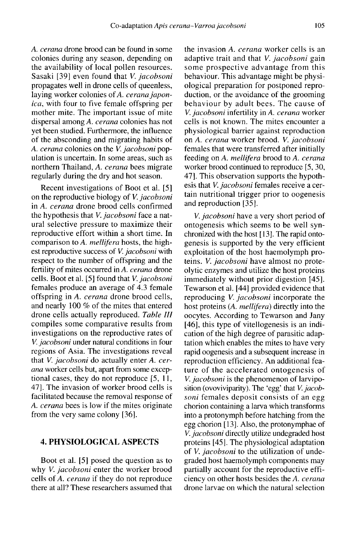A. cerana drone brood can be found in some colonies during any season, depending on the availability of local pollen resources. Sasaki [39] even found that V. jacobsoni propagates well in drone cells of queenless, laying worker colonies of A. cerana japonica, with four to five female offspring per mother mite. The important issue of mite dispersal among A. cerana colonies has not yet been studied. Furthermore, the influence of the absconding and migrating habits of A. cerana colonies on the V. jacobsoni population is uncertain. In some areas, such as northern Thailand, A. cerana bees migrate regularly during the dry and hot season.

Recent investigations of Boot et al. [5] on the reproductive biology of V. jacobsoni in A. cerana drone brood cells confirmed the hypothesis that V. jacobsoni face a natural selective pressure to maximize their reproductive effort within a short time. In comparison to A. mellifera hosts, the high est reproductive success of V. jacobsoni with respect to the number of offspring and the fertility of mites occurred in A. cerana drone cells. Boot et al. [5] found that V. jacobsoni females produce an average of 4.3 female offspring in A. cerana drone brood cells, and nearly 100 % of the mites that entered drone cells actually reproduced. Table III compiles some comparative results from investigations on the reproductive rates of V. jacobsoni under natural conditions in four regions of Asia. The investigations reveal that V. jacobsoni do actually enter A. cerana worker cells but, apart from some exceptional cases, they do not reproduce [5, 11, 47]. The invasion of worker brood cells is facilitated because the removal response of A. cerana bees is low if the mites originate from the very same colony [36].

# 4. PHYSIOLOGICAL ASPECTS

Boot et al. [5] posed the question as to why V. jacobsoni enter the worker brood cells of A. cerana if they do not reproduce there at all? These researchers assumed that the invasion A. cerana worker cells is an adaptive trait and that V. jacobsoni gain some prospective advantage from this behaviour. This advantage might be physiological preparation for postponed reproduction, or the avoidance of the grooming behaviour by adult bees. The cause of V. jacobsoni infertility in A. cerana worker cells is not known. The mites encounter a physiological barrier against reproduction on A. cerana worker brood. V. jacobsoni females that were transferred after initially feeding on A. mellifera brood to A. cerana worker brood continued to reproduce [5, 30, 47]. This observation supports the hypothesis that V. jacobsoni females receive a certain nutritional trigger prior to oogenesis and reproduction [35].

V. jacobsoni have a very short period of ontogenesis which seems to be well synchronized with the host [13]. The rapid ontogenesis is supported by the very efficient exploitation of the host haemolymph proteins. V. jacobsoni have almost no proteolytic enzymes and utilize the host proteins immediately without prior digestion [45]. Tewarson et al. [44] provided evidence that reproducing V. jacobsoni incorporate the host proteins (A. mellifera) directly into the oocytes. According to Tewarson and Jany [46], this type of vitellogenesis is an indication of the high degree of parasitic adaptation which enables the mites to have very rapid oogenesis and a subsequent increase in reproduction efficiency. An additional feature of the accelerated ontogenesis of V. jacobsoni is the phenomenon of larviposition (ovoviviparity). The 'egg' that V. jacobsoni females deposit consists of an egg chorion containing a larva which transforms into a protonymph before hatching from the egg chorion [ 13]. Also, the protonymphae of V. jacobsoni directly utilize undegraded host proteins [45]. The physiological adaptation of *V. jacobsoni* to the utilization of undegraded host haemolymph components may partially account for the reproductive efficiency on other hosts besides the A. cerana drone larvae on which the natural selection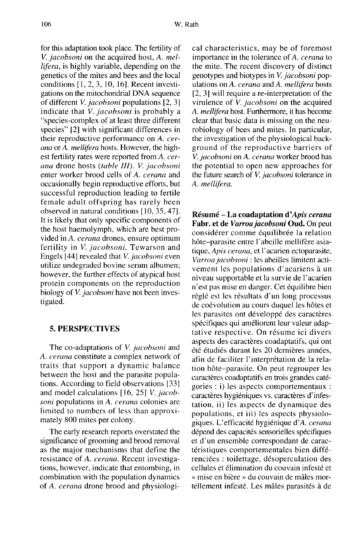for this adaptation took place. The fertility of V. jacobsoni on the acquired host, A. mellifera, is highly variable, depending on the genetics of the mites and bees and the local conditions [1, 2, 3, 10, 16]. Recent investigations on the mitochondrial DNA sequence of different V. jacobsoni populations [2, 3] indicate that V. *jacobsoni* is probably a "species-complex of at least three different species" [2] with significant differences in their reproductive performance on A. cerana or A. mellifera hosts. However, the high est fertility rates were reported from A. cerana drone hosts (table III). V. jacobsoni enter worker brood cells of A. cerana and occasionally begin reproductive efforts, but successful reproduction leading to fertile female adult offspring has rarely been observed in natural conditions [10, 35, 47]. It is likely that only specific components of the host haemolymph, which are best provided in A. cerana drones, ensure optimum fertility in V. jacobsoni. Tewarson and Engels [44] revealed that V. jacobsoni even utilize undegraded bovine serum albumen; however, the further effects of atypical host protein components on the reproduction biology of *V. jacobsoni* have not been investigated.

#### 5. PERSPECTIVES

The co-adaptations of V. jacobsoni and A. cerana constitute a complex network of traits that support a dynamic balance between the host and the parasite populations. According to field observations [33] and model calculations [16, 25] V. jacobsoni populations in A. cerana colonies are limited to numbers of less than approximately 800 mites per colony.

The early research reports overstated the significance of grooming and brood removal as the major mechanisms that define the resistance of A. cerana. Recent investigations, however, indicate that entombing, in combination with the population dynamics of A. cerana drone brood and physiologi-

cal characteristics, may be of foremost importance in the tolerance of A. cerana to the mite. The recent discovery of distinct genotypes and biotypes in V. jacobsoni populations on A. cerana and A. mellifera hosts [2, 3] will require a re-interpretation of the virulence of *V. jacobsoni* on the acquired A. mellifera host. Furthermore, it has become clear that basic data is missing on the neurobiology of bees and mites. In particular, the investigation of the physiological background of the reproductive barriers of V. jacobsoni on A. cerana worker brood has the potential to open new approaches for the future search of V. jacobsoni tolerance in A. mellifera.

Résumé - La coadaptation d'Apis cerana Fabr. et de Varroa jacobsoni Oud. On peut considérer comme équilibrée la relation hôte-parasite entre l'abeille mellifère asiatique, Apis cerana, et l'acarien ectoparasite, Varroa jacobsoni : les abeilles limitent activement les populations d'acariens à un niveau supportable et la survie de l'acarien n'est pas mise en danger. Cet équilibre bien réglé est les résultats d'un long processus de coévolution au cours duquel les hôtes et les parasites ont développé des caractères spécifiques qui améliorent leur valeur adaptative respective. On résume ici divers aspects des caractères coadaptatifs, qui ont été étudiés durant les 20 dernières années, afin de faciliter l'interprétation de la relation hôte-parasite. On peut regrouper les caractères coadaptatifs en trois grandes catégories : i) les aspects comportementaux : caractères hygiéniques vs. caractères d'infestation, ii) les aspects de dynamique des populations, et iii) les aspects physiologiques. L'efficacité hygiénique d'A. cerana dépend des capacités sensorielles spécifiques et d'un ensemble correspondant de caractéristiques comportementales bien différenciées : toilettage, désoperculation des cellules et élimination du couvain infesté et « mise en bière » du couvain de mâles mortellement infesté. Les mâles parasités à de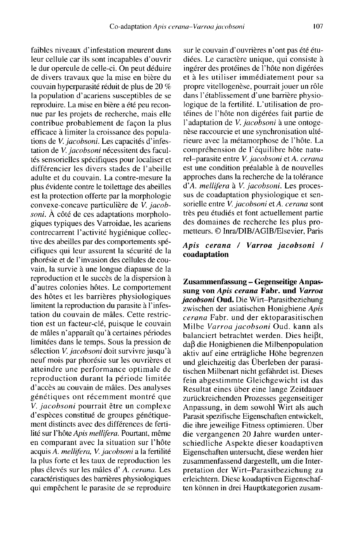faibles niveaux d'infestation meurent dans leur cellule car ils sont incapables d'ouvrir le dur opercule de celle-ci. On peut déduire de divers travaux que la mise en bière du couvain hyperparasité réduit de plus de 20 % la population d'acariens susceptibles de se reproduire. La mise en bière a été peu reconnue par les projets de recherche, mais elle contribue probablement de façon la plus efficace à limiter la croissance des populations de V. jacobsoni. Les capacités d'infestation de V. jacobsoni nécessitent des facultés sensorielles spécifiques pour localiser et différencier les divers stades de l'abeille adulte et du couvain. La contre-mesure la plus évidente contre le toilettage des abeilles est la protection offerte par la morphologie convexe-concave particulière de V. jacobsoni. À côté de ces adaptations morphologiques typiques des Varroidae, les acariens contrecarrent l'activité hygiénique collective des abeilles par des comportements spécifiques qui leur assurent la sécurité de la phorésie et de l'invasion des cellules de couvain, la survie à une longue diapause de la reproduction et le succès de la dispersion à d'autres colonies hôtes. Le comportement des hôtes et les barrières physiologiques limitent la reproduction du parasite à l'infestation du couvain de mâles. Cette restriction est un facteur-clé, puisque le couvain de mâles n'apparaît qu'à certaines périodes limitées dans le temps. Sous la pression de sélection V. jacobsoni doit survivre jusqu'à neuf mois par phorésie sur les ouvrières et atteindre une performance optimale de reproduction durant la période limitée d'accès au couvain de mâles. Des analyses génétiques ont récemment montré que V. jacobsoni pourrait être un complexe d'espèces constitué de groupes génétique ment distincts avec des différences de fertilité sur l'hôte Apis mellifera. Pourtant, même en comparant avec la situation sur l'hôte acquis A. mellifera, V. jacobsoni a la fertilité la plus forte et les taux de reproduction les plus élevés sur les mâles d' A. cerana. Les caractéristiques des barrières physiologiques qui empêchent le parasite de se reproduire

sur le couvain d'ouvrières n'ont pas été étudiées. Le caractère unique, qui consiste à ingérer des protéines de l'hôte non digérées et à les utiliser immédiatement pour sa propre vitellogenèse, pourrait jouer un rôle dans l'établissement d'une barrière physiologique de la fertilité. L'utilisation de protéines de l'hôte non digérées fait partie de l'adaptation de V. jacobsoni à une ontogenèse raccourcie et une synchronisation ultérieure avec la métamorphose de l'hôte. La compréhension de l'équilibre hôte naturel-parasite entre V. jacobsoni et A. cerana est une condition préalable à de nouvelles approches dans la recherche de la tolérance d'A. mellifera à V. jacobsoni. Les processus de coadaptation physiologique et sensorielle entre V. jacobsoni et A. cerana sont très peu étudiés et font actuellement partie des domaines de recherche les plus prometteurs. © Inra/DIB/AGIB/Elsevier, Paris

# Apis cerana / Varroa jacobsoni / coadaptation

Zusammenfassung - Gegenseitige Anpassung von Apis cerana Fabr. und Varroa jacobsoni Oud. Die Wirt-Parasitbeziehung zwischen der asiatischen Honigbiene Apis cerana Fabr. und der ektoparasitischen Milbe Varroa jacobsoni Oud. kann als balanciert betrachtet werden. Dies heißt, daß die Honigbienen die Milbenpopulation aktiv auf eine erträgliche Höhe begrenzen und gleichzeitig das Überleben der parasitischen Milbenart nicht gefährdet ist. Dieses fein abgestimmte Gleichgewicht ist das Resultat eines über eine lange Zeitdauer zurückreichenden Prozesses gegenseitiger Anpassung, in dem sowohl Wirt als auch Parasit spezifische Eigenschaften entwickelt, die ihre jeweilige Fitness optimieren. Über die vergangenen 20 Jahre wurden unterschiedliche Aspekte dieser koadaptiven Eigenschaften untersucht, diese werden hier zusammenfassend dargestellt, um die Interpretation der Wirt-Parasitbeziehung zu erleichtern. Diese koadaptiven Eigenschaf ten können in drei Hauptkategorien zusam-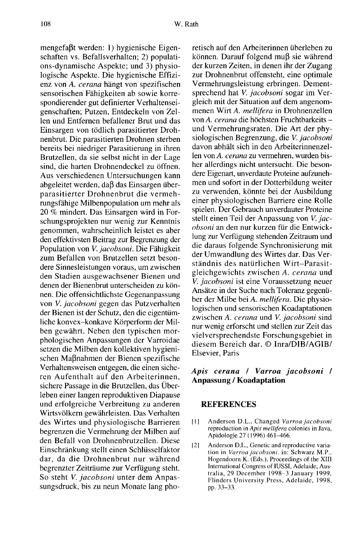mengefaßt werden: 1) hygienische Eigenschaften vs. Befallsverhalten; 2) populations-dynamische Aspekte; und 3) physiologische Aspekte. Die hygienische Effizienz von A. cerana hängt von spezifischen sensorischen Fähigkeiten ab sowie korrespondierender gut definierter Verhaltenseigenschaften; Putzen, Entdeckeln von Zellen und Entfernen befallener Brut und das Einsargen von tödlich parasitierter Drohnenbrut. Die parasitierten Drohnen sterben bereits bei niedriger Parasitierung in ihren Brutzellen, da sie selbst nicht in der Lage sind, die harten Drohnendeckel zu öffnen. Aus verschiedenen Untersuchungen kann abgeleitet werden, daß das Einsargen überparasitierter Drohnenbrut die vermehrungsfähige Milbenpopulation um mehr als 20 % mindert. Das Einsargen wird in Forschungsprojekten nur wenig zur Kenntnis genommen, wahrscheinlich leistet es aber den effektivsten Beitrag zur Begrenzung der Population von V. jacobsoni. Die Fähigkeit zum Befallen von Brutzellen setzt besondere Sinnesleistungen voraus, um zwischen den Stadien ausgewachsener Bienen und denen der Bienenbrut unterscheiden zu können. Die offensichtlichste Gegenanpassung von V. jacobsoni gegen das Putzverhalten der Bienen ist der Schutz, den die eigentümliche konvex-konkave Körperform der Milben gewährt. Neben den typischen morphologischen Anpassungen der Varroidae setzen die Milben den kollektiven hygienischen Maßnahmen der Bienen spezifische Verhaltensweisen entgegen, die einen sicheren Aufenthalt auf den Arbeiterinnen, sichere Passage in die Brutzellen, das Überleben einer langen reproduktiven Diapause und erfolgreiche Verbreitung zu anderen Wirtsvölkern gewährleisten. Das Verhalten des Wirtes und physiologische Barrieren begrenzen die Vermehrung der Milben auf den Befall von Drohnenbrutzellen. Diese Einschränkung stellt einen Schlüsselfaktor dar, da die Drohnenbrut nur während begrenzter Zeiträume zur Verfügung steht. So steht *V. jacobsoni* unter dem Anpassungsdruck, bis zu neun Monate lang phoretisch auf den Arbeiterinnen überleben zu können. Darauf folgend muß sie während der kurzen Zeiten, in denen ihr der Zugang zur Drohnenbrut offensteht, eine optimale Vermehrungsleistung erbringen. Dementsprechend hat V. jacobsoni sogar im Vergleich mit der Situation auf dem angenommenen Wirt A. mellifera in Drohnenzellen von A. cerana die höchsten Fruchtbarkeits und Vermehrungsraten. Die Art der physiologischen Begrenzung, die V. jacobsoni davon abhält sich in den Arbeiterinnenzellen von A. cerana zu vermehren, wurden bisher allerdings nicht untersucht. Die besondere Eigenart, unverdaute Proteine aufzunehmen und sofort in der Dotterbildung weiter zu verwenden, könnte bei der Ausbildung einer physiologischen Barriere eine Rolle spielen. Der Gebrauch unverdauter Proteine stellt einen Teil der Anpassung von V. jacobsoni an den nur kurzen für die Entwicklung zur Verfügung stehenden Zeitraum und die daraus folgende Synchronisierung mit der Umwandlung des Wirtes dar. Das Verständnis des natürlichen Wirt-Parasitgleichgewichts zwischen A. cerana und V. jacobsoni ist eine Voraussetzung neuer Ansätze in der Suche nach Toleranz gegenüber der Milbe bei A. mellifera. Die physiologischen und sensorischen Koadaptationen zwischen A. cerana und V. jacobsoni sind nur wenig erforscht und stellen zur Zeit das vielversprechendste Forschungsgebiet in diesem Bereich dar. © Inra/DIB/AGIB/ Elsevier, Paris

# Apis cerana / Varroa jacobsoni / Anpassung / Koadaptation

#### REFERENCES

- [1] Anderson D.L., Changed Varroa jacobsoni reproduction in Apis mellifera colonies in Java, Apidologie 27 (1996) 461-466.
- [2] Anderson D.L., Genetic and reproductive variation in Varroa jacobsoni. in: Schwarz M.P., Hogendoorn K. (Eds.), Proceedings of the XIII International Congress of IUSSI, Adelaide, Australia, 29 December 1998-3 January 1999, Flinders University Press, Adelaide, 1998, pp. 33-33.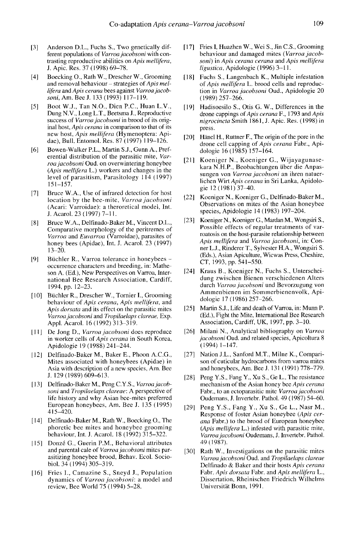- [3] Anderson D.L., Fuchs S., Two genetically different populations of Varroa jacobsoni with contrasting reproductive abilities on Apis mellifera, J. Apic. Res. 37 (1998) 69-78.
- [4] Boecking O., Rath W., Drescher W., Grooming and removal behaviour  $-$  strategies of Apis mellifera and Apis cerana bees against Varroa jacobsoni, Am. Bee J. 133 (1993) 117-119.
- [5] Boot W.J., Tan N.O., Dien P.C., Huan L.V., Dung N.V., Long L.T., Beetsma J., Reproductive success of Varroa jacobsoni in brood of its original host, Apis cerana in comparison to that of its new host, Apis mellifera (Hymenoptera: Apidae), Bull. Entomol. Res. 87 (1997) 119-126.
- [6] Bowen-Walker P.L., Martin S.J., Gunn A., Preferential distribution of the parasitic mite, Varroa jacobsoni Oud. on overwintering honeybee (Apis mellifera L.) workers and changes in the level of parasitism, Parasitology 114 (1997) 151-157.
- [7] Bruce W.A., Use of infrared detection for host location by the bee-mite, Varroa jacobsoni (Acari: Varroidae): a theroretical model, Int. J. Acarol. 23 (1997) 7-11.
- [8] Bruce W.A., Delfinado-Baker M., Vincent D.L., Comparative morphology of the peritremes of Varroa and Euvarroa (Varroidae), parasites of honey bees (Apidae), Int. J. Acarol. 23 (1997) 13-20.
- [9] Büchler R., Varroa tolerance in honeybees occurrence characters and breeding, in: Matheson A. (Ed.), New Perspectives on Varroa, International Bee Research Association, Cardiff, 1994, pp. 12-23.
- [10] Büchler R., Drescher W., Tornier I., Grooming behaviour of Apis cerana, Apis mellifera, and Apis dorsata and its effect on the parasitic mites Varroa jacobsoni and Tropilaelaps clareae, Exp. Appl. Acarol. 16 (1992) 313-319.
- [11] De Jong D., Varroa jacobsoni does reproduce in worker cells of Apis cerana in South Korea, Apidologie 19 (1988) 241-244.
- [12] Delfinado-Baker M., Baker E., Phoon A.C.G., Mites associated with honeybees (Apidae) in Asia with description of a new species, Am. Bee J. 129 (1989) 609-613.
- [13] Delfinado-Baker M., Peng C.Y.S., Varroa jacob-<br>soni and Tropilaelaps clareae: A perspective of life history and why Asian bee-mites preferred European honeybees, Am. Bee J. 135 (1995) 415-420.
- [14] Delfinado-Baker M., Rath W., Boecking O., The phoretic bee mites and honeybee grooming behaviour, Int. J. Acarol. 18 (1992) 315-322.
- [15] Donzé G., Guerin P.M., Behavioral attributes and parental cale of Varroa jacobsoni mites parasitizing honeybee brood, Behav. Ecol. Sociobiol. 34 (1994) 305-319.
- [16] Fries I., Camazine S., Sneyd J., Population dynamics of Varroa jacobsoni: a model and review, Bee World 75 (1994) 5-28.
- [17] Fries I, Huazhen W., Wei S., Jin C.S., Grooming behaviour and damaged mites (Varroa jacobsoni) in Apis cerana cerana and Apis mellifera ligustica, Apidologie (1996) 3-11.
- [18] Fuchs S., Langenbach K., Multiple infestation of Apis mellifera L. brood cells and reproduc tion in Varroa jacobsoni Oud., Apidologie 20 (1989) 257-266.
- [19] Hadisoesilo S., Otis G. W., Differences in the drone cappings of Apis cerana F., 1793 and Apis nigrocincta Smith 1861, J. Apic. Res. (1998) in press.
- [20] Hänel H., Ruttner F., The origin of the pore in the drone cell capping of Apis cerana Fabr., Apidologie 16 (1985) 157-164.
- [21] Koeniger N., Koeniger G., Wijayagunase kara N.H.P., Beobachtungen über die Anpassungen von Varroa jacobsoni an ihren natuerlichen Wirt Apis cerana in Sri Lanka, Apidologie 12 (1981) 37-40.
- [22] Koeniger N., Koeniger G., Delfinado-Baker M., Observations on mites of the Asian honeybee species, Apidologie 14 (1983) 197-204.
- [23] Koeniger N., Koeniger G., Mardan M., Wongsiri S., Possible effects of regular treatments of varroatosis on the host-parasite relationship between Apis mellifera and Varroa jacobsoni, in: Conner L.J., Rinderer T., Sylvester H.A., Wongsiri S. (Eds.), Asian Apiculture, Wicwas Press, Cheshire, CT, 1993, pp. 541-550.
- [24] Kraus B., Koeniger N., Fuchs S., Unterscheidung zwischen Bienen verschiedenen Alters durch Varroa jacobsoni und Bevorzugung von Ammenbienen im Sommerbienenvolk, Apidologie 17 (1986) 257-266.
- [25] Martin S.J., Life and death of Varroa, in: Munn P. (Ed.), Fight the Mite, International Bee Research Association, Cardiff, UK, 1997, pp. 3-10.
- [26] Milani N., Analytical bibliography on Varroa jacobsoni Oud. and related species, Apicoltura 8 (1994) 1-147.
- [27] Nation J.L., Sanford M.T., Milne K., Comparison of cuticular hydrocarbons from varroa mites and honeybees, Am. Bee J. 131 (1991) 778-779.
- [28] Peng Y.S., Fang Y., Xu S., Ge L., The resistance mechanism of the Asian honey bee Apis cerana Fabr., to an ectoparasitic mite Varroa jacobsoni Oudemans, J. Invertebr. Pathol. 49 (1987) 54-60.
- [29] Peng Y.S., Fang Y., Xu S., Ge L., Nasr M., Response of foster Asian honeybee (Apis cerana Fabr.) to the brood of European honeybee (Apis mellifera L.) infested with parasitic mite, Varroa jacobsoni Oudemans, J. Invertebr. Pathol. 49 (1987).
- [30] Rath W., Investigations on the parasitic mites Varroa jacobsoni Oud. and Tropilaelaps clareae Delfinado & Baker and their hosts Apis cerana Fabr. Apis dorsata Fabr. and Apis mellifera L., Dissertation, Rheinischen Friedrich Wilhelms Universität Bonn, 1991.